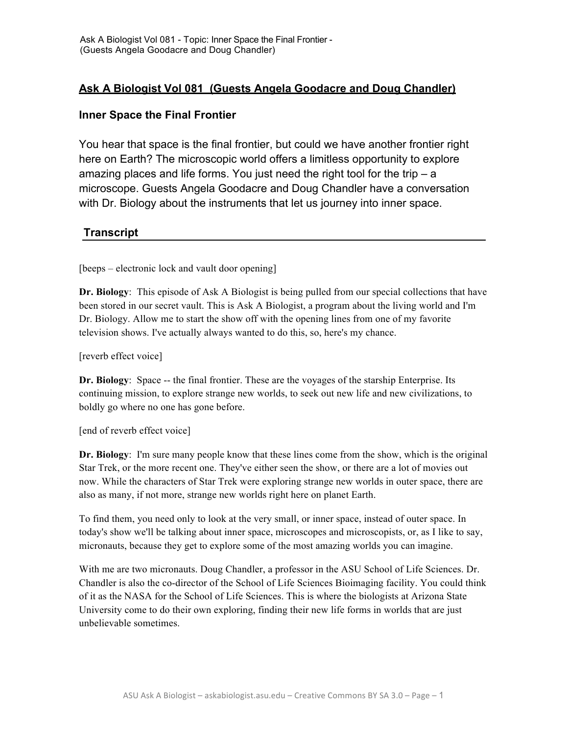## **Ask A Biologist Vol 081 (Guests Angela Goodacre and Doug Chandler)**

## **Inner Space the Final Frontier**

You hear that space is the final frontier, but could we have another frontier right here on Earth? The microscopic world offers a limitless opportunity to explore amazing places and life forms. You just need the right tool for the trip – a microscope. Guests Angela Goodacre and Doug Chandler have a conversation with Dr. Biology about the instruments that let us journey into inner space.

## **Transcript**

[beeps – electronic lock and vault door opening]

**Dr. Biology**: This episode of Ask A Biologist is being pulled from our special collections that have been stored in our secret vault. This is Ask A Biologist, a program about the living world and I'm Dr. Biology. Allow me to start the show off with the opening lines from one of my favorite television shows. I've actually always wanted to do this, so, here's my chance.

[reverb effect voice]

**Dr. Biology**: Space -- the final frontier. These are the voyages of the starship Enterprise. Its continuing mission, to explore strange new worlds, to seek out new life and new civilizations, to boldly go where no one has gone before.

[end of reverb effect voice]

**Dr. Biology**: I'm sure many people know that these lines come from the show, which is the original Star Trek, or the more recent one. They've either seen the show, or there are a lot of movies out now. While the characters of Star Trek were exploring strange new worlds in outer space, there are also as many, if not more, strange new worlds right here on planet Earth.

To find them, you need only to look at the very small, or inner space, instead of outer space. In today's show we'll be talking about inner space, microscopes and microscopists, or, as I like to say, micronauts, because they get to explore some of the most amazing worlds you can imagine.

With me are two micronauts. Doug Chandler, a professor in the ASU School of Life Sciences. Dr. Chandler is also the co-director of the School of Life Sciences Bioimaging facility. You could think of it as the NASA for the School of Life Sciences. This is where the biologists at Arizona State University come to do their own exploring, finding their new life forms in worlds that are just unbelievable sometimes.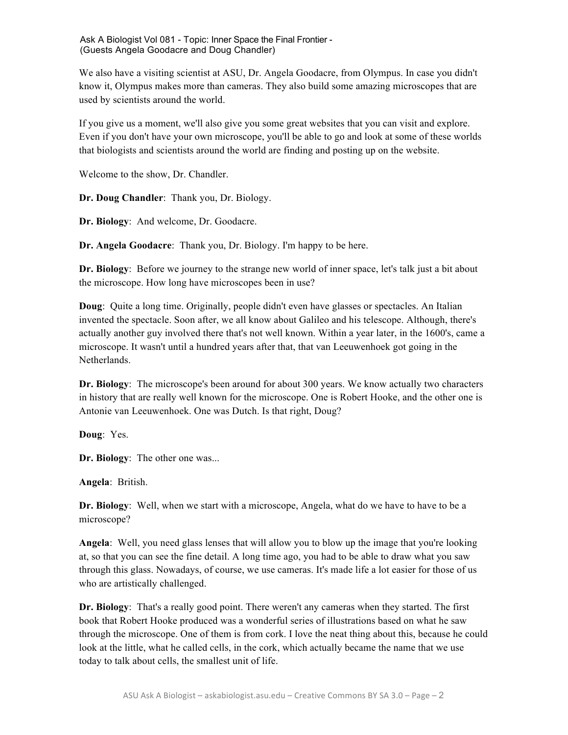We also have a visiting scientist at ASU, Dr. Angela Goodacre, from Olympus. In case you didn't know it, Olympus makes more than cameras. They also build some amazing microscopes that are used by scientists around the world.

If you give us a moment, we'll also give you some great websites that you can visit and explore. Even if you don't have your own microscope, you'll be able to go and look at some of these worlds that biologists and scientists around the world are finding and posting up on the website.

Welcome to the show, Dr. Chandler.

**Dr. Doug Chandler**: Thank you, Dr. Biology.

**Dr. Biology**: And welcome, Dr. Goodacre.

**Dr. Angela Goodacre**: Thank you, Dr. Biology. I'm happy to be here.

**Dr. Biology**: Before we journey to the strange new world of inner space, let's talk just a bit about the microscope. How long have microscopes been in use?

**Doug**: Quite a long time. Originally, people didn't even have glasses or spectacles. An Italian invented the spectacle. Soon after, we all know about Galileo and his telescope. Although, there's actually another guy involved there that's not well known. Within a year later, in the 1600's, came a microscope. It wasn't until a hundred years after that, that van Leeuwenhoek got going in the Netherlands.

**Dr. Biology**: The microscope's been around for about 300 years. We know actually two characters in history that are really well known for the microscope. One is Robert Hooke, and the other one is Antonie van Leeuwenhoek. One was Dutch. Is that right, Doug?

**Doug**: Yes.

**Dr. Biology**: The other one was...

**Angela**: British.

**Dr. Biology**: Well, when we start with a microscope, Angela, what do we have to have to be a microscope?

**Angela**: Well, you need glass lenses that will allow you to blow up the image that you're looking at, so that you can see the fine detail. A long time ago, you had to be able to draw what you saw through this glass. Nowadays, of course, we use cameras. It's made life a lot easier for those of us who are artistically challenged.

**Dr. Biology**: That's a really good point. There weren't any cameras when they started. The first book that Robert Hooke produced was a wonderful series of illustrations based on what he saw through the microscope. One of them is from cork. I love the neat thing about this, because he could look at the little, what he called cells, in the cork, which actually became the name that we use today to talk about cells, the smallest unit of life.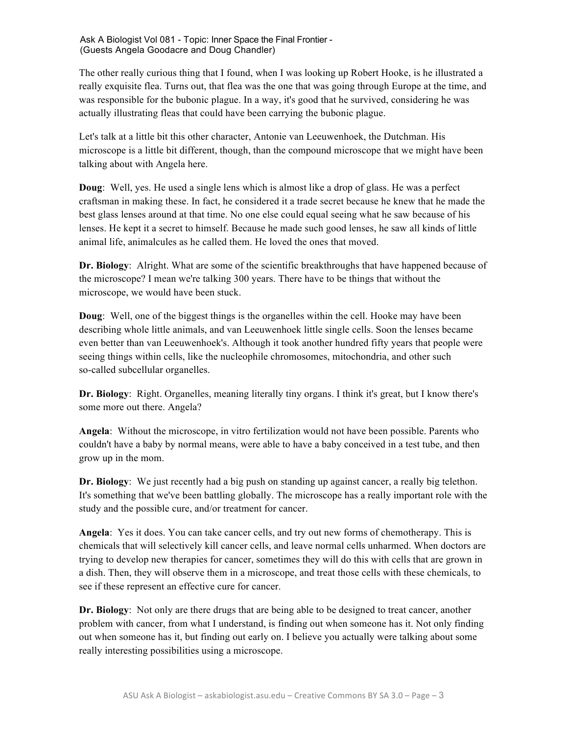The other really curious thing that I found, when I was looking up Robert Hooke, is he illustrated a really exquisite flea. Turns out, that flea was the one that was going through Europe at the time, and was responsible for the bubonic plague. In a way, it's good that he survived, considering he was actually illustrating fleas that could have been carrying the bubonic plague.

Let's talk at a little bit this other character, Antonie van Leeuwenhoek, the Dutchman. His microscope is a little bit different, though, than the compound microscope that we might have been talking about with Angela here.

**Doug**: Well, yes. He used a single lens which is almost like a drop of glass. He was a perfect craftsman in making these. In fact, he considered it a trade secret because he knew that he made the best glass lenses around at that time. No one else could equal seeing what he saw because of his lenses. He kept it a secret to himself. Because he made such good lenses, he saw all kinds of little animal life, animalcules as he called them. He loved the ones that moved.

**Dr. Biology**: Alright. What are some of the scientific breakthroughs that have happened because of the microscope? I mean we're talking 300 years. There have to be things that without the microscope, we would have been stuck.

**Doug**: Well, one of the biggest things is the organelles within the cell. Hooke may have been describing whole little animals, and van Leeuwenhoek little single cells. Soon the lenses became even better than van Leeuwenhoek's. Although it took another hundred fifty years that people were seeing things within cells, like the nucleophile chromosomes, mitochondria, and other such so-called subcellular organelles.

**Dr. Biology**: Right. Organelles, meaning literally tiny organs. I think it's great, but I know there's some more out there. Angela?

**Angela**: Without the microscope, in vitro fertilization would not have been possible. Parents who couldn't have a baby by normal means, were able to have a baby conceived in a test tube, and then grow up in the mom.

**Dr. Biology**: We just recently had a big push on standing up against cancer, a really big telethon. It's something that we've been battling globally. The microscope has a really important role with the study and the possible cure, and/or treatment for cancer.

**Angela**: Yes it does. You can take cancer cells, and try out new forms of chemotherapy. This is chemicals that will selectively kill cancer cells, and leave normal cells unharmed. When doctors are trying to develop new therapies for cancer, sometimes they will do this with cells that are grown in a dish. Then, they will observe them in a microscope, and treat those cells with these chemicals, to see if these represent an effective cure for cancer.

**Dr. Biology**: Not only are there drugs that are being able to be designed to treat cancer, another problem with cancer, from what I understand, is finding out when someone has it. Not only finding out when someone has it, but finding out early on. I believe you actually were talking about some really interesting possibilities using a microscope.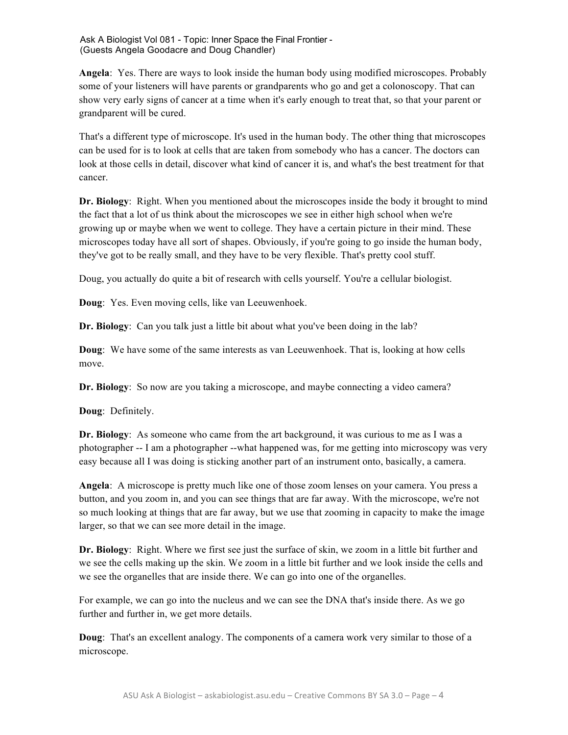**Angela**: Yes. There are ways to look inside the human body using modified microscopes. Probably some of your listeners will have parents or grandparents who go and get a colonoscopy. That can show very early signs of cancer at a time when it's early enough to treat that, so that your parent or grandparent will be cured.

That's a different type of microscope. It's used in the human body. The other thing that microscopes can be used for is to look at cells that are taken from somebody who has a cancer. The doctors can look at those cells in detail, discover what kind of cancer it is, and what's the best treatment for that cancer.

**Dr. Biology**: Right. When you mentioned about the microscopes inside the body it brought to mind the fact that a lot of us think about the microscopes we see in either high school when we're growing up or maybe when we went to college. They have a certain picture in their mind. These microscopes today have all sort of shapes. Obviously, if you're going to go inside the human body, they've got to be really small, and they have to be very flexible. That's pretty cool stuff.

Doug, you actually do quite a bit of research with cells yourself. You're a cellular biologist.

**Doug**: Yes. Even moving cells, like van Leeuwenhoek.

**Dr. Biology**: Can you talk just a little bit about what you've been doing in the lab?

**Doug**: We have some of the same interests as van Leeuwenhoek. That is, looking at how cells move.

**Dr. Biology**: So now are you taking a microscope, and maybe connecting a video camera?

**Doug**: Definitely.

**Dr. Biology**: As someone who came from the art background, it was curious to me as I was a photographer -- I am a photographer --what happened was, for me getting into microscopy was very easy because all I was doing is sticking another part of an instrument onto, basically, a camera.

**Angela**: A microscope is pretty much like one of those zoom lenses on your camera. You press a button, and you zoom in, and you can see things that are far away. With the microscope, we're not so much looking at things that are far away, but we use that zooming in capacity to make the image larger, so that we can see more detail in the image.

**Dr. Biology**: Right. Where we first see just the surface of skin, we zoom in a little bit further and we see the cells making up the skin. We zoom in a little bit further and we look inside the cells and we see the organelles that are inside there. We can go into one of the organelles.

For example, we can go into the nucleus and we can see the DNA that's inside there. As we go further and further in, we get more details.

**Doug**: That's an excellent analogy. The components of a camera work very similar to those of a microscope.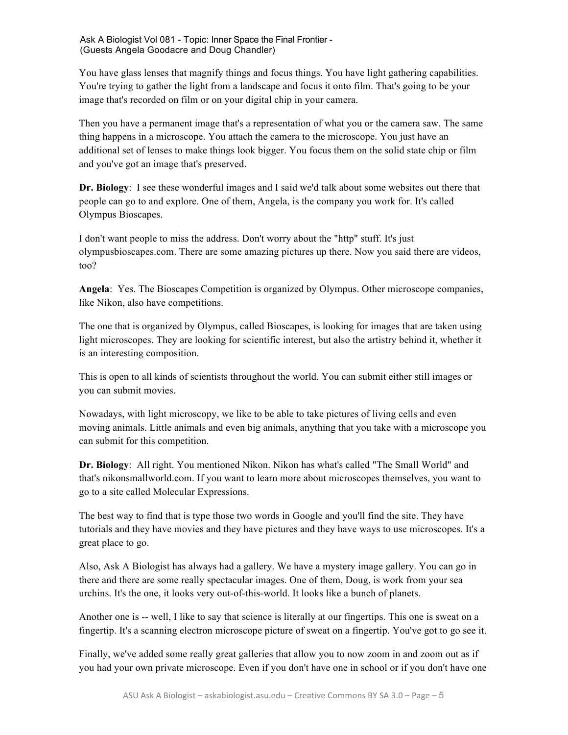You have glass lenses that magnify things and focus things. You have light gathering capabilities. You're trying to gather the light from a landscape and focus it onto film. That's going to be your image that's recorded on film or on your digital chip in your camera.

Then you have a permanent image that's a representation of what you or the camera saw. The same thing happens in a microscope. You attach the camera to the microscope. You just have an additional set of lenses to make things look bigger. You focus them on the solid state chip or film and you've got an image that's preserved.

**Dr. Biology**: I see these wonderful images and I said we'd talk about some websites out there that people can go to and explore. One of them, Angela, is the company you work for. It's called Olympus Bioscapes.

I don't want people to miss the address. Don't worry about the "http" stuff. It's just olympusbioscapes.com. There are some amazing pictures up there. Now you said there are videos, too?

**Angela**: Yes. The Bioscapes Competition is organized by Olympus. Other microscope companies, like Nikon, also have competitions.

The one that is organized by Olympus, called Bioscapes, is looking for images that are taken using light microscopes. They are looking for scientific interest, but also the artistry behind it, whether it is an interesting composition.

This is open to all kinds of scientists throughout the world. You can submit either still images or you can submit movies.

Nowadays, with light microscopy, we like to be able to take pictures of living cells and even moving animals. Little animals and even big animals, anything that you take with a microscope you can submit for this competition.

**Dr. Biology**: All right. You mentioned Nikon. Nikon has what's called "The Small World" and that's nikonsmallworld.com. If you want to learn more about microscopes themselves, you want to go to a site called Molecular Expressions.

The best way to find that is type those two words in Google and you'll find the site. They have tutorials and they have movies and they have pictures and they have ways to use microscopes. It's a great place to go.

Also, Ask A Biologist has always had a gallery. We have a mystery image gallery. You can go in there and there are some really spectacular images. One of them, Doug, is work from your sea urchins. It's the one, it looks very out-of-this-world. It looks like a bunch of planets.

Another one is -- well, I like to say that science is literally at our fingertips. This one is sweat on a fingertip. It's a scanning electron microscope picture of sweat on a fingertip. You've got to go see it.

Finally, we've added some really great galleries that allow you to now zoom in and zoom out as if you had your own private microscope. Even if you don't have one in school or if you don't have one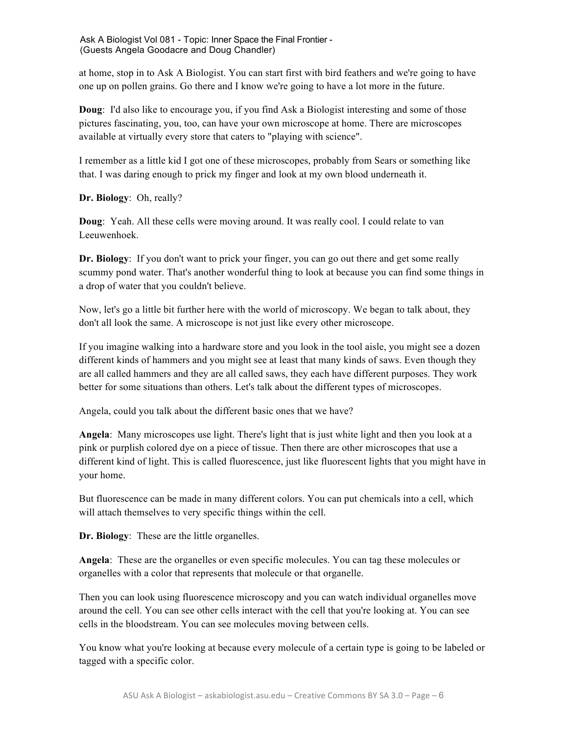at home, stop in to Ask A Biologist. You can start first with bird feathers and we're going to have one up on pollen grains. Go there and I know we're going to have a lot more in the future.

**Doug**: I'd also like to encourage you, if you find Ask a Biologist interesting and some of those pictures fascinating, you, too, can have your own microscope at home. There are microscopes available at virtually every store that caters to "playing with science".

I remember as a little kid I got one of these microscopes, probably from Sears or something like that. I was daring enough to prick my finger and look at my own blood underneath it.

**Dr. Biology**: Oh, really?

**Doug**: Yeah. All these cells were moving around. It was really cool. I could relate to van Leeuwenhoek.

**Dr. Biology**: If you don't want to prick your finger, you can go out there and get some really scummy pond water. That's another wonderful thing to look at because you can find some things in a drop of water that you couldn't believe.

Now, let's go a little bit further here with the world of microscopy. We began to talk about, they don't all look the same. A microscope is not just like every other microscope.

If you imagine walking into a hardware store and you look in the tool aisle, you might see a dozen different kinds of hammers and you might see at least that many kinds of saws. Even though they are all called hammers and they are all called saws, they each have different purposes. They work better for some situations than others. Let's talk about the different types of microscopes.

Angela, could you talk about the different basic ones that we have?

**Angela**: Many microscopes use light. There's light that is just white light and then you look at a pink or purplish colored dye on a piece of tissue. Then there are other microscopes that use a different kind of light. This is called fluorescence, just like fluorescent lights that you might have in your home.

But fluorescence can be made in many different colors. You can put chemicals into a cell, which will attach themselves to very specific things within the cell.

**Dr. Biology**: These are the little organelles.

**Angela**: These are the organelles or even specific molecules. You can tag these molecules or organelles with a color that represents that molecule or that organelle.

Then you can look using fluorescence microscopy and you can watch individual organelles move around the cell. You can see other cells interact with the cell that you're looking at. You can see cells in the bloodstream. You can see molecules moving between cells.

You know what you're looking at because every molecule of a certain type is going to be labeled or tagged with a specific color.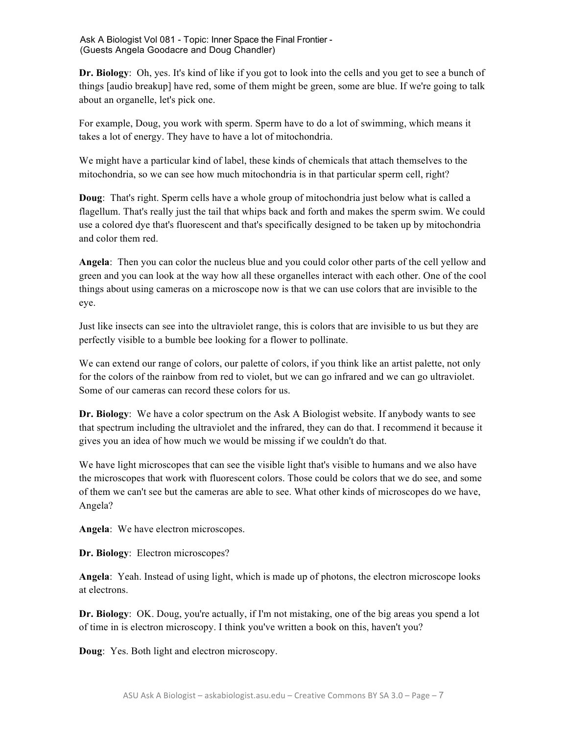**Dr. Biology**: Oh, yes. It's kind of like if you got to look into the cells and you get to see a bunch of things [audio breakup] have red, some of them might be green, some are blue. If we're going to talk about an organelle, let's pick one.

For example, Doug, you work with sperm. Sperm have to do a lot of swimming, which means it takes a lot of energy. They have to have a lot of mitochondria.

We might have a particular kind of label, these kinds of chemicals that attach themselves to the mitochondria, so we can see how much mitochondria is in that particular sperm cell, right?

**Doug**: That's right. Sperm cells have a whole group of mitochondria just below what is called a flagellum. That's really just the tail that whips back and forth and makes the sperm swim. We could use a colored dye that's fluorescent and that's specifically designed to be taken up by mitochondria and color them red.

**Angela**: Then you can color the nucleus blue and you could color other parts of the cell yellow and green and you can look at the way how all these organelles interact with each other. One of the cool things about using cameras on a microscope now is that we can use colors that are invisible to the eye.

Just like insects can see into the ultraviolet range, this is colors that are invisible to us but they are perfectly visible to a bumble bee looking for a flower to pollinate.

We can extend our range of colors, our palette of colors, if you think like an artist palette, not only for the colors of the rainbow from red to violet, but we can go infrared and we can go ultraviolet. Some of our cameras can record these colors for us.

**Dr. Biology**: We have a color spectrum on the Ask A Biologist website. If anybody wants to see that spectrum including the ultraviolet and the infrared, they can do that. I recommend it because it gives you an idea of how much we would be missing if we couldn't do that.

We have light microscopes that can see the visible light that's visible to humans and we also have the microscopes that work with fluorescent colors. Those could be colors that we do see, and some of them we can't see but the cameras are able to see. What other kinds of microscopes do we have, Angela?

**Angela**: We have electron microscopes.

**Dr. Biology**: Electron microscopes?

**Angela**: Yeah. Instead of using light, which is made up of photons, the electron microscope looks at electrons.

**Dr. Biology**: OK. Doug, you're actually, if I'm not mistaking, one of the big areas you spend a lot of time in is electron microscopy. I think you've written a book on this, haven't you?

**Doug**: Yes. Both light and electron microscopy.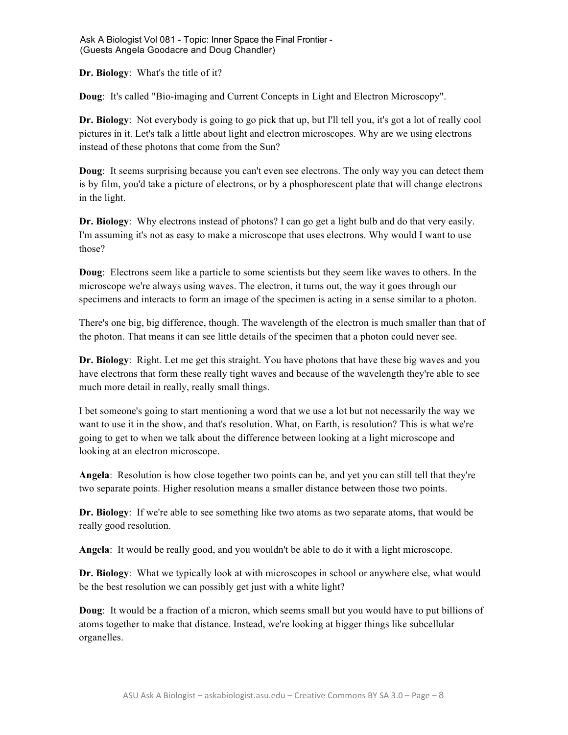**Dr. Biology**: What's the title of it?

**Doug**: It's called "Bio-imaging and Current Concepts in Light and Electron Microscopy".

**Dr. Biology**: Not everybody is going to go pick that up, but I'll tell you, it's got a lot of really cool pictures in it. Let's talk a little about light and electron microscopes. Why are we using electrons instead of these photons that come from the Sun?

**Doug**: It seems surprising because you can't even see electrons. The only way you can detect them is by film, you'd take a picture of electrons, or by a phosphorescent plate that will change electrons in the light.

**Dr. Biology**: Why electrons instead of photons? I can go get a light bulb and do that very easily. I'm assuming it's not as easy to make a microscope that uses electrons. Why would I want to use those?

**Doug**: Electrons seem like a particle to some scientists but they seem like waves to others. In the microscope we're always using waves. The electron, it turns out, the way it goes through our specimens and interacts to form an image of the specimen is acting in a sense similar to a photon.

There's one big, big difference, though. The wavelength of the electron is much smaller than that of the photon. That means it can see little details of the specimen that a photon could never see.

**Dr. Biology**: Right. Let me get this straight. You have photons that have these big waves and you have electrons that form these really tight waves and because of the wavelength they're able to see much more detail in really, really small things.

I bet someone's going to start mentioning a word that we use a lot but not necessarily the way we want to use it in the show, and that's resolution. What, on Earth, is resolution? This is what we're going to get to when we talk about the difference between looking at a light microscope and looking at an electron microscope.

**Angela**: Resolution is how close together two points can be, and yet you can still tell that they're two separate points. Higher resolution means a smaller distance between those two points.

**Dr. Biology**: If we're able to see something like two atoms as two separate atoms, that would be really good resolution.

**Angela**: It would be really good, and you wouldn't be able to do it with a light microscope.

**Dr. Biology**: What we typically look at with microscopes in school or anywhere else, what would be the best resolution we can possibly get just with a white light?

**Doug**: It would be a fraction of a micron, which seems small but you would have to put billions of atoms together to make that distance. Instead, we're looking at bigger things like subcellular organelles.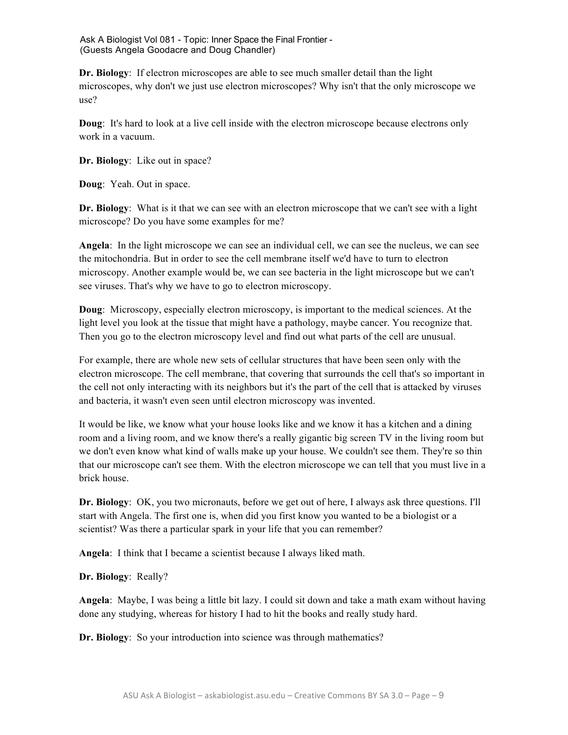**Dr. Biology**: If electron microscopes are able to see much smaller detail than the light microscopes, why don't we just use electron microscopes? Why isn't that the only microscope we use?

**Doug**: It's hard to look at a live cell inside with the electron microscope because electrons only work in a vacuum.

**Dr. Biology**: Like out in space?

**Doug**: Yeah. Out in space.

**Dr. Biology**: What is it that we can see with an electron microscope that we can't see with a light microscope? Do you have some examples for me?

**Angela**: In the light microscope we can see an individual cell, we can see the nucleus, we can see the mitochondria. But in order to see the cell membrane itself we'd have to turn to electron microscopy. Another example would be, we can see bacteria in the light microscope but we can't see viruses. That's why we have to go to electron microscopy.

**Doug**: Microscopy, especially electron microscopy, is important to the medical sciences. At the light level you look at the tissue that might have a pathology, maybe cancer. You recognize that. Then you go to the electron microscopy level and find out what parts of the cell are unusual.

For example, there are whole new sets of cellular structures that have been seen only with the electron microscope. The cell membrane, that covering that surrounds the cell that's so important in the cell not only interacting with its neighbors but it's the part of the cell that is attacked by viruses and bacteria, it wasn't even seen until electron microscopy was invented.

It would be like, we know what your house looks like and we know it has a kitchen and a dining room and a living room, and we know there's a really gigantic big screen TV in the living room but we don't even know what kind of walls make up your house. We couldn't see them. They're so thin that our microscope can't see them. With the electron microscope we can tell that you must live in a brick house.

**Dr. Biology**: OK, you two micronauts, before we get out of here, I always ask three questions. I'll start with Angela. The first one is, when did you first know you wanted to be a biologist or a scientist? Was there a particular spark in your life that you can remember?

**Angela**: I think that I became a scientist because I always liked math.

**Dr. Biology**: Really?

**Angela**: Maybe, I was being a little bit lazy. I could sit down and take a math exam without having done any studying, whereas for history I had to hit the books and really study hard.

**Dr. Biology**: So your introduction into science was through mathematics?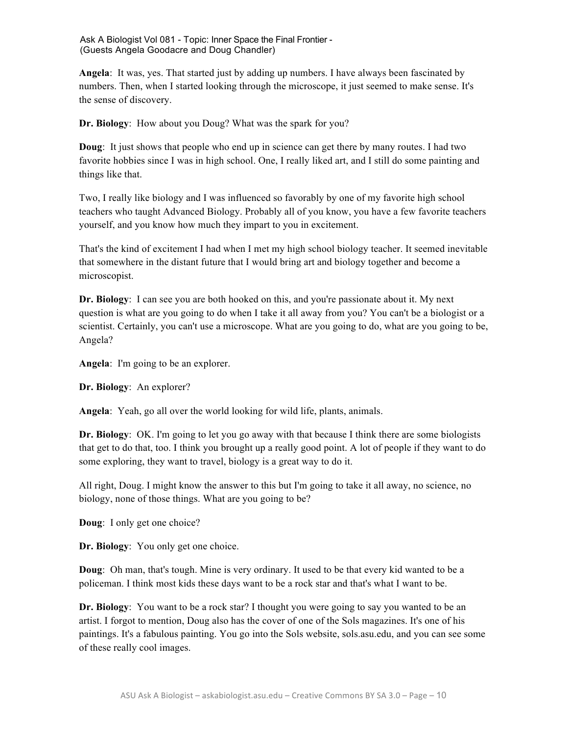**Angela**: It was, yes. That started just by adding up numbers. I have always been fascinated by numbers. Then, when I started looking through the microscope, it just seemed to make sense. It's the sense of discovery.

**Dr. Biology**: How about you Doug? What was the spark for you?

**Doug**: It just shows that people who end up in science can get there by many routes. I had two favorite hobbies since I was in high school. One, I really liked art, and I still do some painting and things like that.

Two, I really like biology and I was influenced so favorably by one of my favorite high school teachers who taught Advanced Biology. Probably all of you know, you have a few favorite teachers yourself, and you know how much they impart to you in excitement.

That's the kind of excitement I had when I met my high school biology teacher. It seemed inevitable that somewhere in the distant future that I would bring art and biology together and become a microscopist.

**Dr. Biology**: I can see you are both hooked on this, and you're passionate about it. My next question is what are you going to do when I take it all away from you? You can't be a biologist or a scientist. Certainly, you can't use a microscope. What are you going to do, what are you going to be, Angela?

**Angela**: I'm going to be an explorer.

**Dr. Biology**: An explorer?

**Angela**: Yeah, go all over the world looking for wild life, plants, animals.

**Dr. Biology**: OK. I'm going to let you go away with that because I think there are some biologists that get to do that, too. I think you brought up a really good point. A lot of people if they want to do some exploring, they want to travel, biology is a great way to do it.

All right, Doug. I might know the answer to this but I'm going to take it all away, no science, no biology, none of those things. What are you going to be?

**Doug**: I only get one choice?

**Dr. Biology**: You only get one choice.

**Doug**: Oh man, that's tough. Mine is very ordinary. It used to be that every kid wanted to be a policeman. I think most kids these days want to be a rock star and that's what I want to be.

**Dr. Biology**: You want to be a rock star? I thought you were going to say you wanted to be an artist. I forgot to mention, Doug also has the cover of one of the Sols magazines. It's one of his paintings. It's a fabulous painting. You go into the Sols website, sols.asu.edu, and you can see some of these really cool images.